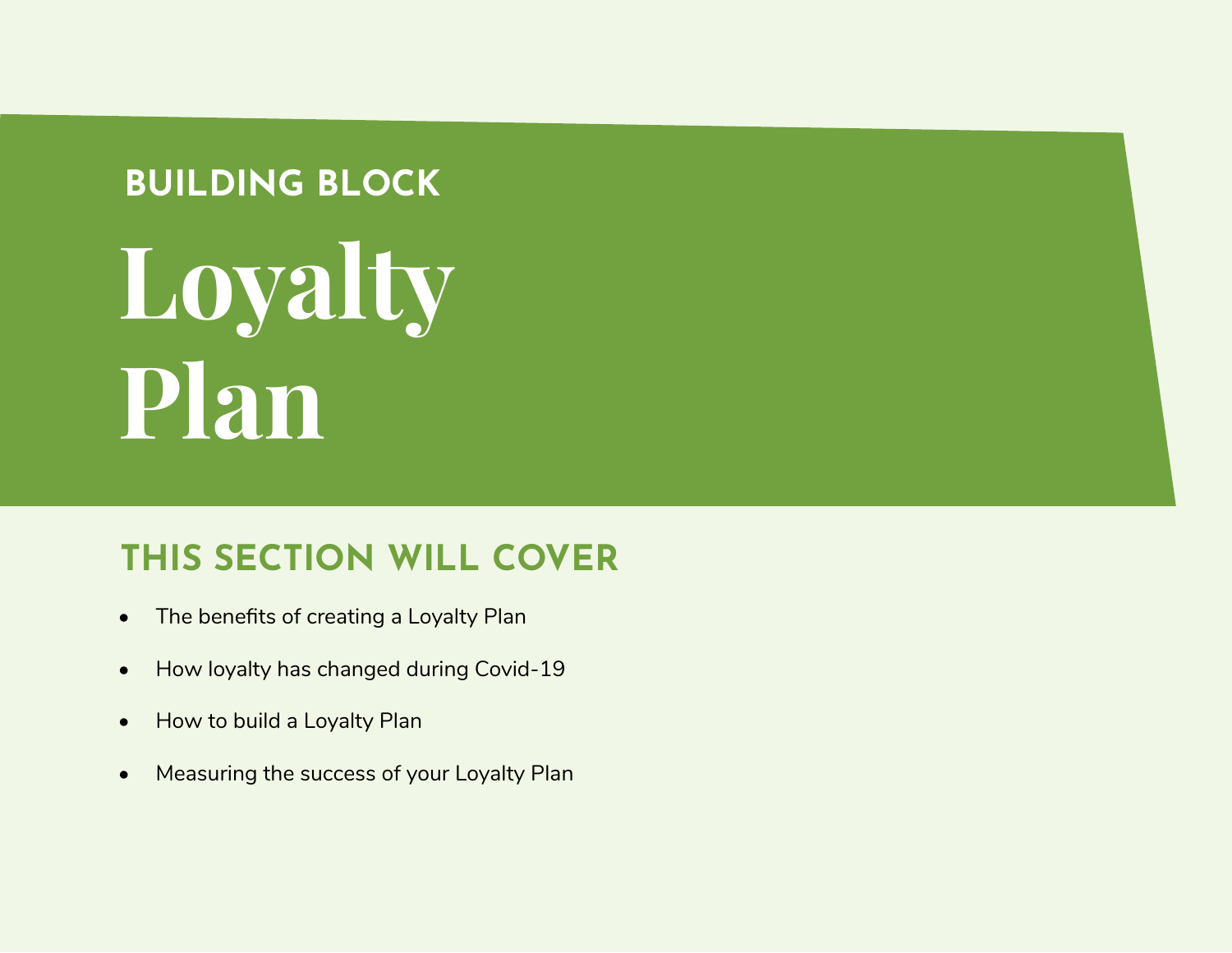### **BUILDING BLOCK**

# **Loyalty Plan**

## **THIS SECTION WILL COVER**

- The benefits of creating a Loyalty Plan
- How loyalty has changed during Covid-19
- How to build a Loyalty Plan
- Measuring the success of your Loyalty Plan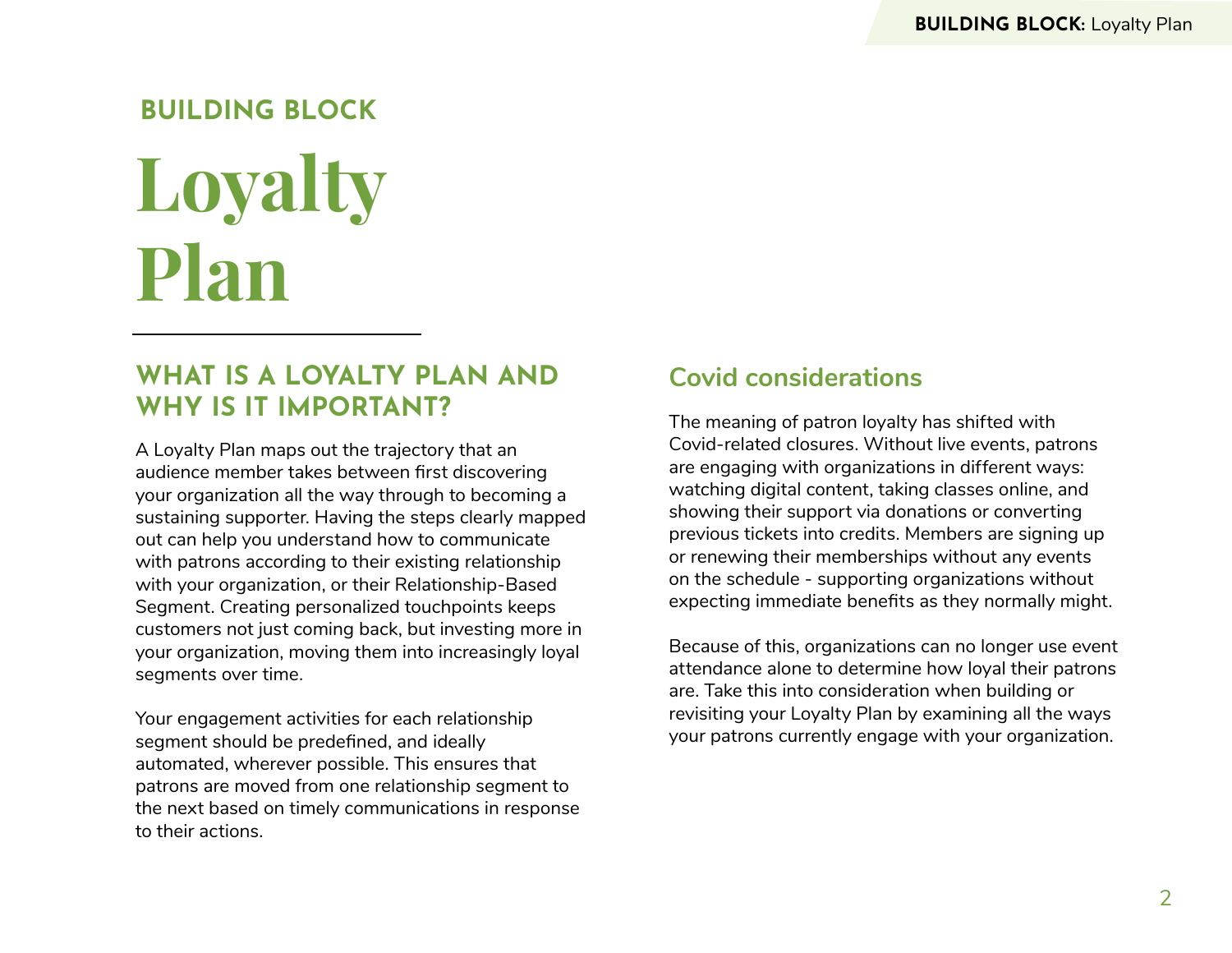# **Loyalty Plan BUILDING BLOCK**

#### **WHAT IS A LOYALTY PLAN AND WHY IS IT IMPORTANT?**

A Loyalty Plan maps out the trajectory that an audience member takes between first discovering your organization all the way through to becoming a sustaining supporter. Having the steps clearly mapped out can help you understand how to communicate with patrons according to their existing relationship with your organization, or their Relationship-Based Segment. Creating personalized touchpoints keeps customers not just coming back, but investing more in your organization, moving them into increasingly loyal segments over time.

Your engagement activities for each relationship segment should be predefined, and ideally automated, wherever possible. This ensures that patrons are moved from one relationship segment to the next based on timely communications in response to their actions.

#### **Covid considerations**

The meaning of patron loyalty has shifted with Covid-related closures. Without live events, patrons are engaging with organizations in different ways: watching digital content, taking classes online, and showing their support via donations or converting previous tickets into credits. Members are signing up or renewing their memberships without any events on the schedule - supporting organizations without expecting immediate benefits as they normally might.

Because of this, organizations can no longer use event attendance alone to determine how loyal their patrons are. Take this into consideration when building or revisiting your Loyalty Plan by examining all the ways your patrons currently engage with your organization.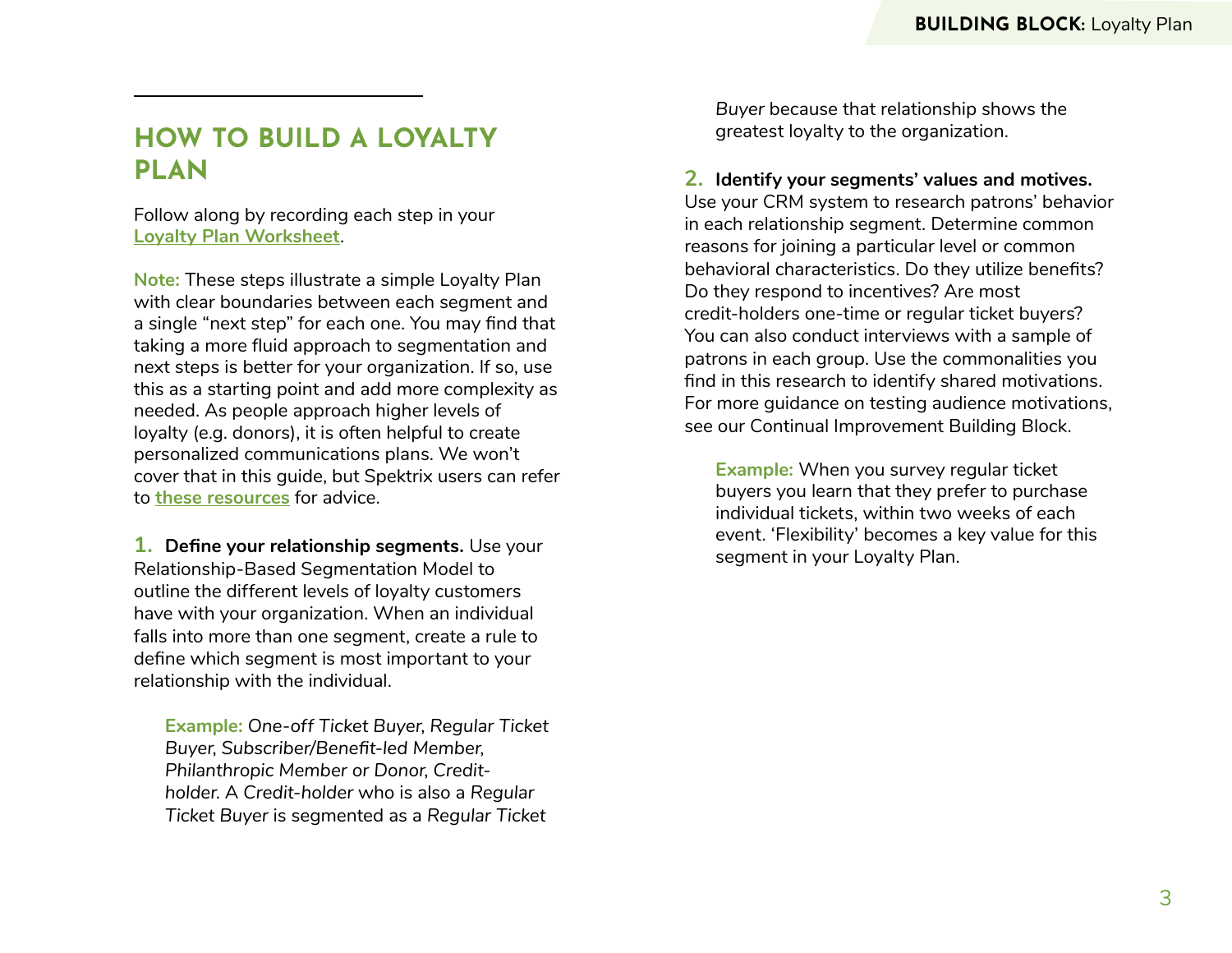#### **HOW TO BUILD A LOYALTY PLAN**

Follow along by recording each step in your **[Loyalty Plan Worksheet](https://docs.google.com/document/d/1G0xUq82GtUwXJycUzvaRIPLczI2jv-iBqUTWZK3ImJ8/edit?usp=sharing)**.

**Note:** These steps illustrate a simple Loyalty Plan with clear boundaries between each segment and a single "next step" for each one. You may find that taking a more fluid approach to segmentation and next steps is better for your organization. If so, use this as a starting point and add more complexity as needed. As people approach higher levels of loyalty (e.g. donors), it is often helpful to create personalized communications plans. We won't cover that in this guide, but Spektrix users can refer to **[these resources](https://support.spektrix.com/hc/en-us/categories/200121533-Opportunities/?utm_source=whitepaper&utm_medium=NA)** for advice.

**1. Define your relationship segments.** Use your Relationship-Based Segmentation Model to outline the different levels of loyalty customers have with your organization. When an individual falls into more than one segment, create a rule to define which segment is most important to your relationship with the individual.

**Example:** *One-off Ticket Buyer*, *Regular Ticket Buyer*, *Subscriber/Benefit-led Member*, *Philanthropic Member or Donor*, *Creditholder*. A *Credit-holder* who is also a *Regular Ticket Buyer* is segmented as a *Regular Ticket*

*Buyer* because that relationship shows the greatest loyalty to the organization.

**2. Identify your segments' values and motives.** Use your CRM system to research patrons' behavior in each relationship segment. Determine common reasons for joining a particular level or common behavioral characteristics. Do they utilize benefits?

Do they respond to incentives? Are most credit-holders one-time or regular ticket buyers? You can also conduct interviews with a sample of patrons in each group. Use the commonalities you find in this research to identify shared motivations. For more guidance on testing audience motivations, see our Continual Improvement Building Block.

**Example:** When you survey regular ticket buyers you learn that they prefer to purchase individual tickets, within two weeks of each event. 'Flexibility' becomes a key value for this segment in your Loyalty Plan.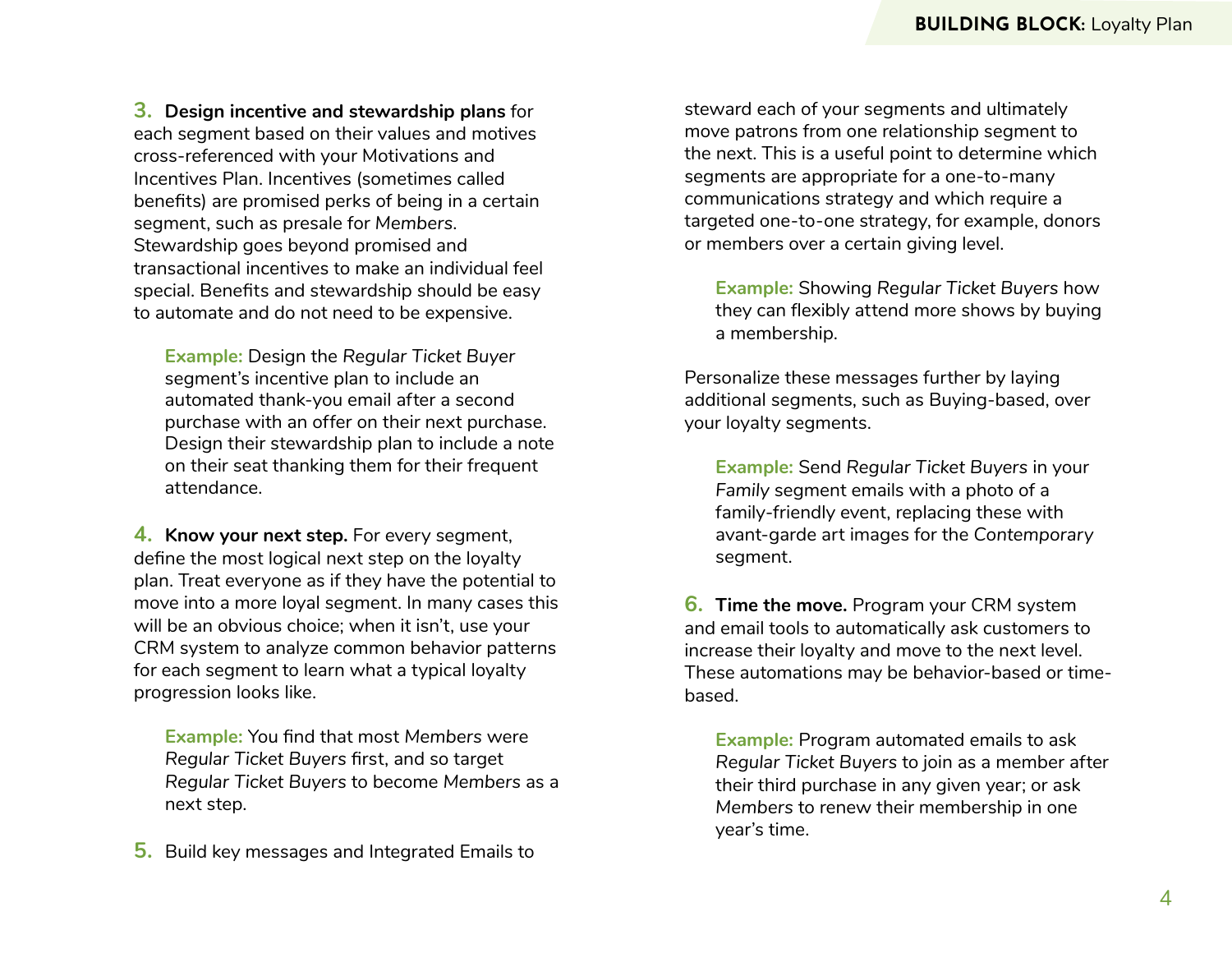**3. Design incentive and stewardship plans** for each segment based on their values and motives cross-referenced with your Motivations and Incentives Plan. Incentives (sometimes called benefits) are promised perks of being in a certain segment, such as presale for *Members*. Stewardship goes beyond promised and transactional incentives to make an individual feel special. Benefits and stewardship should be easy to automate and do not need to be expensive.

**Example:** Design the *Regular Ticket Buyer*  segment's incentive plan to include an automated thank-you email after a second purchase with an offer on their next purchase. Design their stewardship plan to include a note on their seat thanking them for their frequent attendance.

**4. Know your next step.** For every segment, define the most logical next step on the loyalty plan. Treat everyone as if they have the potential to move into a more loyal segment. In many cases this will be an obvious choice; when it isn't, use your CRM system to analyze common behavior patterns for each segment to learn what a typical loyalty progression looks like.

**Example:** You find that most *Members* were *Regular Ticket Buyers* first, and so target *Regular Ticket Buyers* to become *Members* as a next step.

**5.** Build key messages and Integrated Emails to

steward each of your segments and ultimately move patrons from one relationship segment to the next. This is a useful point to determine which segments are appropriate for a one-to-many communications strategy and which require a targeted one-to-one strategy, for example, donors or members over a certain giving level.

**Example:** Showing *Regular Ticket Buyers* how they can flexibly attend more shows by buying a membership.

Personalize these messages further by laying additional segments, such as Buying-based, over your loyalty segments.

**Example:** Send *Regular Ticket Buyers* in your *Family* segment emails with a photo of a family-friendly event, replacing these with avant-garde art images for the *Contemporary* segment.

**6. Time the move.** Program your CRM system and email tools to automatically ask customers to increase their loyalty and move to the next level. These automations may be behavior-based or timebased.

**Example:** Program automated emails to ask *Regular Ticket Buyers* to join as a member after their third purchase in any given year; or ask *Members* to renew their membership in one year's time.